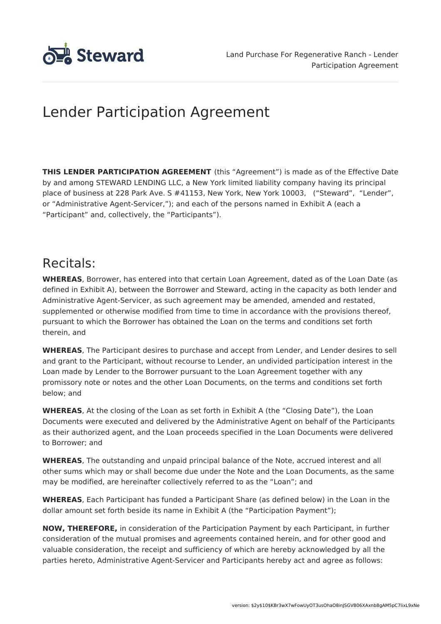

# Lender Participation Agreement

**THIS LENDER PARTICIPATION AGREEMENT** (this "Agreement") is made as of the Effective Date by and among STEWARD LENDING LLC, a New York limited liability company having its principal place of business at 228 Park Ave. S #41153, New York, New York 10003, ("Steward", "Lender", or "Administrative Agent-Servicer,"); and each of the persons named in Exhibit A (each a "Participant" and, collectively, the "Participants").

# Recitals:

**WHEREAS**, Borrower, has entered into that certain Loan Agreement, dated as of the Loan Date (as defined in Exhibit A), between the Borrower and Steward, acting in the capacity as both lender and Administrative Agent-Servicer, as such agreement may be amended, amended and restated, supplemented or otherwise modified from time to time in accordance with the provisions thereof, pursuant to which the Borrower has obtained the Loan on the terms and conditions set forth therein, and

**WHEREAS**, The Participant desires to purchase and accept from Lender, and Lender desires to sell and grant to the Participant, without recourse to Lender, an undivided participation interest in the Loan made by Lender to the Borrower pursuant to the Loan Agreement together with any promissory note or notes and the other Loan Documents, on the terms and conditions set forth below; and

**WHEREAS**, At the closing of the Loan as set forth in Exhibit A (the "Closing Date"), the Loan Documents were executed and delivered by the Administrative Agent on behalf of the Participants as their authorized agent, and the Loan proceeds specified in the Loan Documents were delivered to Borrower; and

**WHEREAS**, The outstanding and unpaid principal balance of the Note, accrued interest and all other sums which may or shall become due under the Note and the Loan Documents, as the same may be modified, are hereinafter collectively referred to as the "Loan"; and

**WHEREAS**, Each Participant has funded a Participant Share (as defined below) in the Loan in the dollar amount set forth beside its name in Exhibit A (the "Participation Payment");

**NOW, THEREFORE,** in consideration of the Participation Payment by each Participant, in further consideration of the mutual promises and agreements contained herein, and for other good and valuable consideration, the receipt and sufficiency of which are hereby acknowledged by all the parties hereto, Administrative Agent-Servicer and Participants hereby act and agree as follows: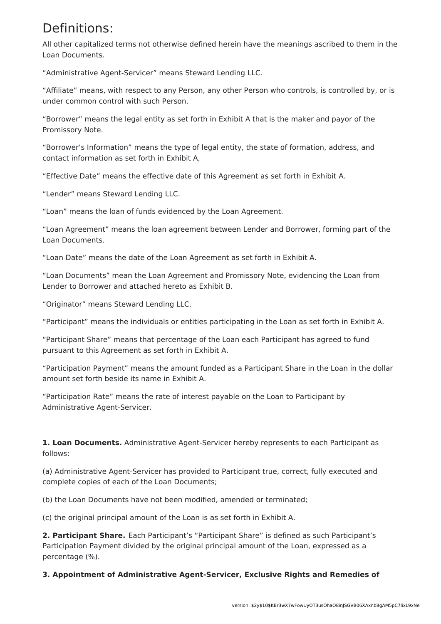## Definitions:

All other capitalized terms not otherwise defined herein have the meanings ascribed to them in the Loan Documents.

"Administrative Agent-Servicer" means Steward Lending LLC.

"Affiliate" means, with respect to any Person, any other Person who controls, is controlled by, or is under common control with such Person.

"Borrower" means the legal entity as set forth in Exhibit A that is the maker and payor of the Promissory Note.

"Borrower's Information" means the type of legal entity, the state of formation, address, and contact information as set forth in Exhibit A,

"Effective Date" means the effective date of this Agreement as set forth in Exhibit A.

"Lender" means Steward Lending LLC.

"Loan" means the loan of funds evidenced by the Loan Agreement.

"Loan Agreement" means the loan agreement between Lender and Borrower, forming part of the Loan Documents.

"Loan Date" means the date of the Loan Agreement as set forth in Exhibit A.

"Loan Documents" mean the Loan Agreement and Promissory Note, evidencing the Loan from Lender to Borrower and attached hereto as Exhibit B.

"Originator" means Steward Lending LLC.

"Participant" means the individuals or entities participating in the Loan as set forth in Exhibit A.

"Participant Share" means that percentage of the Loan each Participant has agreed to fund pursuant to this Agreement as set forth in Exhibit A.

"Participation Payment" means the amount funded as a Participant Share in the Loan in the dollar amount set forth beside its name in Exhibit A.

"Participation Rate" means the rate of interest payable on the Loan to Participant by Administrative Agent-Servicer.

**1. Loan Documents.** Administrative Agent-Servicer hereby represents to each Participant as follows:

(a) Administrative Agent-Servicer has provided to Participant true, correct, fully executed and complete copies of each of the Loan Documents;

(b) the Loan Documents have not been modified, amended or terminated;

(c) the original principal amount of the Loan is as set forth in Exhibit A.

**2. Participant Share.** Each Participant's "Participant Share" is defined as such Participant's Participation Payment divided by the original principal amount of the Loan, expressed as a percentage (%).

**3. Appointment of Administrative Agent-Servicer, Exclusive Rights and Remedies of**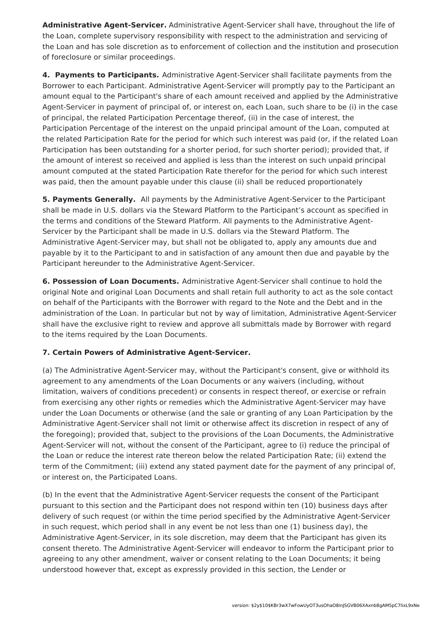**Administrative Agent-Servicer.** Administrative Agent-Servicer shall have, throughout the life of the Loan, complete supervisory responsibility with respect to the administration and servicing of the Loan and has sole discretion as to enforcement of collection and the institution and prosecution of foreclosure or similar proceedings.

**4. Payments to Participants.** Administrative Agent-Servicer shall facilitate payments from the Borrower to each Participant. Administrative Agent-Servicer will promptly pay to the Participant an amount equal to the Participant's share of each amount received and applied by the Administrative Agent-Servicer in payment of principal of, or interest on, each Loan, such share to be (i) in the case of principal, the related Participation Percentage thereof, (ii) in the case of interest, the Participation Percentage of the interest on the unpaid principal amount of the Loan, computed at the related Participation Rate for the period for which such interest was paid (or, if the related Loan Participation has been outstanding for a shorter period, for such shorter period); provided that, if the amount of interest so received and applied is less than the interest on such unpaid principal amount computed at the stated Participation Rate therefor for the period for which such interest was paid, then the amount payable under this clause (ii) shall be reduced proportionately

**5. Payments Generally.** All payments by the Administrative Agent-Servicer to the Participant shall be made in U.S. dollars via the Steward Platform to the Participant's account as specified in the terms and conditions of the Steward Platform. All payments to the Administrative Agent-Servicer by the Participant shall be made in U.S. dollars via the Steward Platform. The Administrative Agent-Servicer may, but shall not be obligated to, apply any amounts due and payable by it to the Participant to and in satisfaction of any amount then due and payable by the Participant hereunder to the Administrative Agent-Servicer.

**6. Possession of Loan Documents.** Administrative Agent-Servicer shall continue to hold the original Note and original Loan Documents and shall retain full authority to act as the sole contact on behalf of the Participants with the Borrower with regard to the Note and the Debt and in the administration of the Loan. In particular but not by way of limitation, Administrative Agent-Servicer shall have the exclusive right to review and approve all submittals made by Borrower with regard to the items required by the Loan Documents.

### **7. Certain Powers of Administrative Agent-Servicer.**

(a) The Administrative Agent-Servicer may, without the Participant's consent, give or withhold its agreement to any amendments of the Loan Documents or any waivers (including, without limitation, waivers of conditions precedent) or consents in respect thereof, or exercise or refrain from exercising any other rights or remedies which the Administrative Agent-Servicer may have under the Loan Documents or otherwise (and the sale or granting of any Loan Participation by the Administrative Agent-Servicer shall not limit or otherwise affect its discretion in respect of any of the foregoing); provided that, subject to the provisions of the Loan Documents, the Administrative Agent-Servicer will not, without the consent of the Participant, agree to (i) reduce the principal of the Loan or reduce the interest rate thereon below the related Participation Rate; (ii) extend the term of the Commitment; (iii) extend any stated payment date for the payment of any principal of, or interest on, the Participated Loans.

(b) In the event that the Administrative Agent-Servicer requests the consent of the Participant pursuant to this section and the Participant does not respond within ten (10) business days after delivery of such request (or within the time period specified by the Administrative Agent-Servicer in such request, which period shall in any event be not less than one (1) business day), the Administrative Agent-Servicer, in its sole discretion, may deem that the Participant has given its consent thereto. The Administrative Agent-Servicer will endeavor to inform the Participant prior to agreeing to any other amendment, waiver or consent relating to the Loan Documents; it being understood however that, except as expressly provided in this section, the Lender or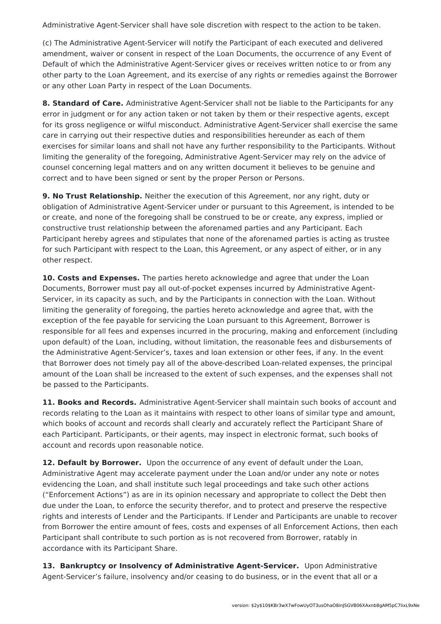Administrative Agent-Servicer shall have sole discretion with respect to the action to be taken.

(c) The Administrative Agent-Servicer will notify the Participant of each executed and delivered amendment, waiver or consent in respect of the Loan Documents, the occurrence of any Event of Default of which the Administrative Agent-Servicer gives or receives written notice to or from any other party to the Loan Agreement, and its exercise of any rights or remedies against the Borrower or any other Loan Party in respect of the Loan Documents.

**8. Standard of Care.** Administrative Agent-Servicer shall not be liable to the Participants for any error in judgment or for any action taken or not taken by them or their respective agents, except for its gross negligence or wilful misconduct. Administrative Agent-Servicer shall exercise the same care in carrying out their respective duties and responsibilities hereunder as each of them exercises for similar loans and shall not have any further responsibility to the Participants. Without limiting the generality of the foregoing, Administrative Agent-Servicer may rely on the advice of counsel concerning legal matters and on any written document it believes to be genuine and correct and to have been signed or sent by the proper Person or Persons.

**9. No Trust Relationship.** Neither the execution of this Agreement, nor any right, duty or obligation of Administrative Agent-Servicer under or pursuant to this Agreement, is intended to be or create, and none of the foregoing shall be construed to be or create, any express, implied or constructive trust relationship between the aforenamed parties and any Participant. Each Participant hereby agrees and stipulates that none of the aforenamed parties is acting as trustee for such Participant with respect to the Loan, this Agreement, or any aspect of either, or in any other respect.

**10. Costs and Expenses.** The parties hereto acknowledge and agree that under the Loan Documents, Borrower must pay all out-of-pocket expenses incurred by Administrative Agent-Servicer, in its capacity as such, and by the Participants in connection with the Loan. Without limiting the generality of foregoing, the parties hereto acknowledge and agree that, with the exception of the fee payable for servicing the Loan pursuant to this Agreement, Borrower is responsible for all fees and expenses incurred in the procuring, making and enforcement (including upon default) of the Loan, including, without limitation, the reasonable fees and disbursements of the Administrative Agent-Servicer's, taxes and loan extension or other fees, if any. In the event that Borrower does not timely pay all of the above-described Loan-related expenses, the principal amount of the Loan shall be increased to the extent of such expenses, and the expenses shall not be passed to the Participants.

**11. Books and Records.** Administrative Agent-Servicer shall maintain such books of account and records relating to the Loan as it maintains with respect to other loans of similar type and amount, which books of account and records shall clearly and accurately reflect the Participant Share of each Participant. Participants, or their agents, may inspect in electronic format, such books of account and records upon reasonable notice.

**12. Default by Borrower.** Upon the occurrence of any event of default under the Loan, Administrative Agent may accelerate payment under the Loan and/or under any note or notes evidencing the Loan, and shall institute such legal proceedings and take such other actions ("Enforcement Actions") as are in its opinion necessary and appropriate to collect the Debt then due under the Loan, to enforce the security therefor, and to protect and preserve the respective rights and interests of Lender and the Participants. If Lender and Participants are unable to recover from Borrower the entire amount of fees, costs and expenses of all Enforcement Actions, then each Participant shall contribute to such portion as is not recovered from Borrower, ratably in accordance with its Participant Share.

**13. Bankruptcy or Insolvency of Administrative Agent-Servicer.** Upon Administrative Agent-Servicer's failure, insolvency and/or ceasing to do business, or in the event that all or a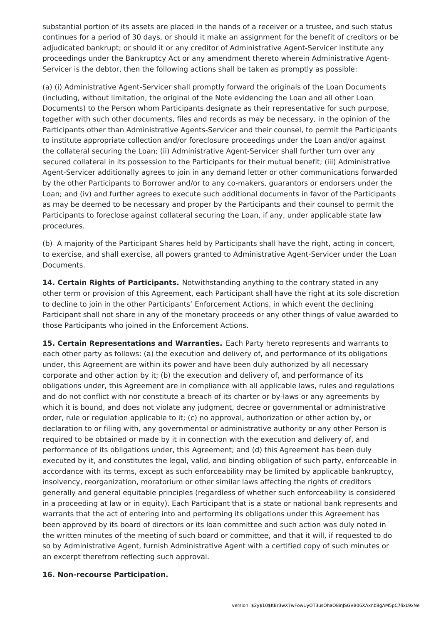substantial portion of its assets are placed in the hands of a receiver or a trustee, and such status continues for a period of 30 days, or should it make an assignment for the benefit of creditors or be adjudicated bankrupt; or should it or any creditor of Administrative Agent-Servicer institute any proceedings under the Bankruptcy Act or any amendment thereto wherein Administrative Agent-Servicer is the debtor, then the following actions shall be taken as promptly as possible:

(a) (i) Administrative Agent-Servicer shall promptly forward the originals of the Loan Documents (including, without limitation, the original of the Note evidencing the Loan and all other Loan Documents) to the Person whom Participants designate as their representative for such purpose, together with such other documents, files and records as may be necessary, in the opinion of the Participants other than Administrative Agents-Servicer and their counsel, to permit the Participants to institute appropriate collection and/or foreclosure proceedings under the Loan and/or against the collateral securing the Loan; (ii) Administrative Agent-Servicer shall further turn over any secured collateral in its possession to the Participants for their mutual benefit; (iii) Administrative Agent-Servicer additionally agrees to join in any demand letter or other communications forwarded by the other Participants to Borrower and/or to any co-makers, guarantors or endorsers under the Loan; and (iv) and further agrees to execute such additional documents in favor of the Participants as may be deemed to be necessary and proper by the Participants and their counsel to permit the Participants to foreclose against collateral securing the Loan, if any, under applicable state law procedures.

(b) A majority of the Participant Shares held by Participants shall have the right, acting in concert, to exercise, and shall exercise, all powers granted to Administrative Agent-Servicer under the Loan Documents.

**14. Certain Rights of Participants.** Notwithstanding anything to the contrary stated in any other term or provision of this Agreement, each Participant shall have the right at its sole discretion to decline to join in the other Participants' Enforcement Actions, in which event the declining Participant shall not share in any of the monetary proceeds or any other things of value awarded to those Participants who joined in the Enforcement Actions.

**15. Certain Representations and Warranties.** Each Party hereto represents and warrants to each other party as follows: (a) the execution and delivery of, and performance of its obligations under, this Agreement are within its power and have been duly authorized by all necessary corporate and other action by it; (b) the execution and delivery of, and performance of its obligations under, this Agreement are in compliance with all applicable laws, rules and regulations and do not conflict with nor constitute a breach of its charter or by-laws or any agreements by which it is bound, and does not violate any judgment, decree or governmental or administrative order, rule or regulation applicable to it; (c) no approval, authorization or other action by, or declaration to or filing with, any governmental or administrative authority or any other Person is required to be obtained or made by it in connection with the execution and delivery of, and performance of its obligations under, this Agreement; and (d) this Agreement has been duly executed by it, and constitutes the legal, valid, and binding obligation of such party, enforceable in accordance with its terms, except as such enforceability may be limited by applicable bankruptcy, insolvency, reorganization, moratorium or other similar laws affecting the rights of creditors generally and general equitable principles (regardless of whether such enforceability is considered in a proceeding at law or in equity). Each Participant that is a state or national bank represents and warrants that the act of entering into and performing its obligations under this Agreement has been approved by its board of directors or its loan committee and such action was duly noted in the written minutes of the meeting of such board or committee, and that it will, if requested to do so by Administrative Agent, furnish Administrative Agent with a certified copy of such minutes or an excerpt therefrom reflecting such approval.

#### **16. Non-recourse Participation.**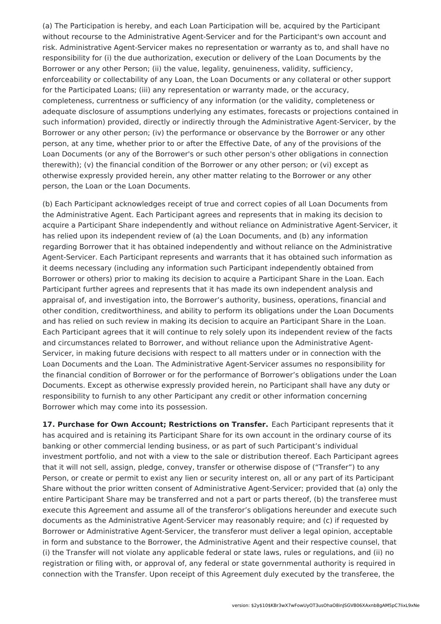(a) The Participation is hereby, and each Loan Participation will be, acquired by the Participant without recourse to the Administrative Agent-Servicer and for the Participant's own account and risk. Administrative Agent-Servicer makes no representation or warranty as to, and shall have no responsibility for (i) the due authorization, execution or delivery of the Loan Documents by the Borrower or any other Person; (ii) the value, legality, genuineness, validity, sufficiency, enforceability or collectability of any Loan, the Loan Documents or any collateral or other support for the Participated Loans; (iii) any representation or warranty made, or the accuracy, completeness, currentness or sufficiency of any information (or the validity, completeness or adequate disclosure of assumptions underlying any estimates, forecasts or projections contained in such information) provided, directly or indirectly through the Administrative Agent-Servicer, by the Borrower or any other person; (iv) the performance or observance by the Borrower or any other person, at any time, whether prior to or after the Effective Date, of any of the provisions of the Loan Documents (or any of the Borrower's or such other person's other obligations in connection therewith); (v) the financial condition of the Borrower or any other person; or (vi) except as otherwise expressly provided herein, any other matter relating to the Borrower or any other person, the Loan or the Loan Documents.

(b) Each Participant acknowledges receipt of true and correct copies of all Loan Documents from the Administrative Agent. Each Participant agrees and represents that in making its decision to acquire a Participant Share independently and without reliance on Administrative Agent-Servicer, it has relied upon its independent review of (a) the Loan Documents, and (b) any information regarding Borrower that it has obtained independently and without reliance on the Administrative Agent-Servicer. Each Participant represents and warrants that it has obtained such information as it deems necessary (including any information such Participant independently obtained from Borrower or others) prior to making its decision to acquire a Participant Share in the Loan. Each Participant further agrees and represents that it has made its own independent analysis and appraisal of, and investigation into, the Borrower's authority, business, operations, financial and other condition, creditworthiness, and ability to perform its obligations under the Loan Documents and has relied on such review in making its decision to acquire an Participant Share in the Loan. Each Participant agrees that it will continue to rely solely upon its independent review of the facts and circumstances related to Borrower, and without reliance upon the Administrative Agent-Servicer, in making future decisions with respect to all matters under or in connection with the Loan Documents and the Loan. The Administrative Agent-Servicer assumes no responsibility for the financial condition of Borrower or for the performance of Borrower's obligations under the Loan Documents. Except as otherwise expressly provided herein, no Participant shall have any duty or responsibility to furnish to any other Participant any credit or other information concerning Borrower which may come into its possession.

**17. Purchase for Own Account; Restrictions on Transfer.** Each Participant represents that it has acquired and is retaining its Participant Share for its own account in the ordinary course of its banking or other commercial lending business, or as part of such Participant's individual investment portfolio, and not with a view to the sale or distribution thereof. Each Participant agrees that it will not sell, assign, pledge, convey, transfer or otherwise dispose of ("Transfer") to any Person, or create or permit to exist any lien or security interest on, all or any part of its Participant Share without the prior written consent of Administrative Agent-Servicer; provided that (a) only the entire Participant Share may be transferred and not a part or parts thereof, (b) the transferee must execute this Agreement and assume all of the transferor's obligations hereunder and execute such documents as the Administrative Agent-Servicer may reasonably require; and (c) if requested by Borrower or Administrative Agent-Servicer, the transferor must deliver a legal opinion, acceptable in form and substance to the Borrower, the Administrative Agent and their respective counsel, that (i) the Transfer will not violate any applicable federal or state laws, rules or regulations, and (ii) no registration or filing with, or approval of, any federal or state governmental authority is required in connection with the Transfer. Upon receipt of this Agreement duly executed by the transferee, the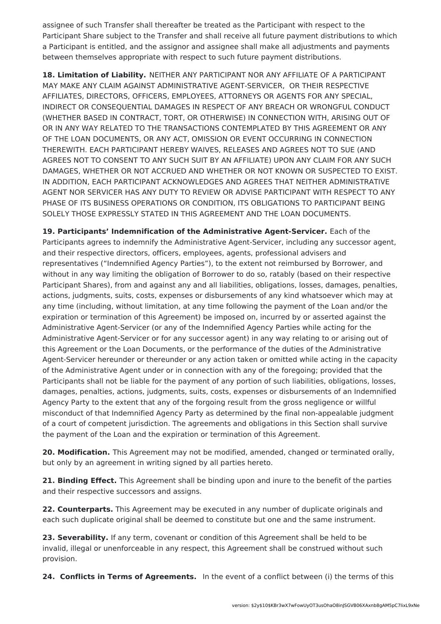assignee of such Transfer shall thereafter be treated as the Participant with respect to the Participant Share subject to the Transfer and shall receive all future payment distributions to which a Participant is entitled, and the assignor and assignee shall make all adjustments and payments between themselves appropriate with respect to such future payment distributions.

**18. Limitation of Liability.** NEITHER ANY PARTICIPANT NOR ANY AFFILIATE OF A PARTICIPANT MAY MAKE ANY CLAIM AGAINST ADMINISTRATIVE AGENT-SERVICER, OR THEIR RESPECTIVE AFFILIATES, DIRECTORS, OFFICERS, EMPLOYEES, ATTORNEYS OR AGENTS FOR ANY SPECIAL, INDIRECT OR CONSEQUENTIAL DAMAGES IN RESPECT OF ANY BREACH OR WRONGFUL CONDUCT (WHETHER BASED IN CONTRACT, TORT, OR OTHERWISE) IN CONNECTION WITH, ARISING OUT OF OR IN ANY WAY RELATED TO THE TRANSACTIONS CONTEMPLATED BY THIS AGREEMENT OR ANY OF THE LOAN DOCUMENTS, OR ANY ACT, OMISSION OR EVENT OCCURRING IN CONNECTION THEREWITH. EACH PARTICIPANT HEREBY WAIVES, RELEASES AND AGREES NOT TO SUE (AND AGREES NOT TO CONSENT TO ANY SUCH SUIT BY AN AFFILIATE) UPON ANY CLAIM FOR ANY SUCH DAMAGES, WHETHER OR NOT ACCRUED AND WHETHER OR NOT KNOWN OR SUSPECTED TO EXIST. IN ADDITION, EACH PARTICIPANT ACKNOWLEDGES AND AGREES THAT NEITHER ADMINISTRATIVE AGENT NOR SERVICER HAS ANY DUTY TO REVIEW OR ADVISE PARTICIPANT WITH RESPECT TO ANY PHASE OF ITS BUSINESS OPERATIONS OR CONDITION, ITS OBLIGATIONS TO PARTICIPANT BEING SOLELY THOSE EXPRESSLY STATED IN THIS AGREEMENT AND THE LOAN DOCUMENTS.

**19. Participants' Indemnification of the Administrative Agent-Servicer.** Each of the Participants agrees to indemnify the Administrative Agent-Servicer, including any successor agent, and their respective directors, officers, employees, agents, professional advisers and representatives ("Indemnified Agency Parties"), to the extent not reimbursed by Borrower, and without in any way limiting the obligation of Borrower to do so, ratably (based on their respective Participant Shares), from and against any and all liabilities, obligations, losses, damages, penalties, actions, judgments, suits, costs, expenses or disbursements of any kind whatsoever which may at any time (including, without limitation, at any time following the payment of the Loan and/or the expiration or termination of this Agreement) be imposed on, incurred by or asserted against the Administrative Agent-Servicer (or any of the Indemnified Agency Parties while acting for the Administrative Agent-Servicer or for any successor agent) in any way relating to or arising out of this Agreement or the Loan Documents, or the performance of the duties of the Administrative Agent-Servicer hereunder or thereunder or any action taken or omitted while acting in the capacity of the Administrative Agent under or in connection with any of the foregoing; provided that the Participants shall not be liable for the payment of any portion of such liabilities, obligations, losses, damages, penalties, actions, judgments, suits, costs, expenses or disbursements of an Indemnified Agency Party to the extent that any of the forgoing result from the gross negligence or willful misconduct of that Indemnified Agency Party as determined by the final non-appealable judgment of a court of competent jurisdiction. The agreements and obligations in this Section shall survive the payment of the Loan and the expiration or termination of this Agreement.

**20. Modification.** This Agreement may not be modified, amended, changed or terminated orally, but only by an agreement in writing signed by all parties hereto.

**21. Binding Effect.** This Agreement shall be binding upon and inure to the benefit of the parties and their respective successors and assigns.

**22. Counterparts.** This Agreement may be executed in any number of duplicate originals and each such duplicate original shall be deemed to constitute but one and the same instrument.

**23. Severability.** If any term, covenant or condition of this Agreement shall be held to be invalid, illegal or unenforceable in any respect, this Agreement shall be construed without such provision.

**24. Conflicts in Terms of Agreements.** In the event of a conflict between (i) the terms of this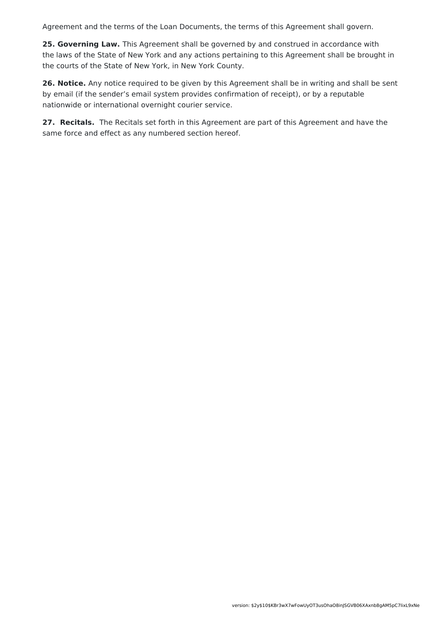Agreement and the terms of the Loan Documents, the terms of this Agreement shall govern.

**25. Governing Law.** This Agreement shall be governed by and construed in accordance with the laws of the State of New York and any actions pertaining to this Agreement shall be brought in the courts of the State of New York, in New York County.

**26. Notice.** Any notice required to be given by this Agreement shall be in writing and shall be sent by email (if the sender's email system provides confirmation of receipt), or by a reputable nationwide or international overnight courier service.

**27. Recitals.** The Recitals set forth in this Agreement are part of this Agreement and have the same force and effect as any numbered section hereof.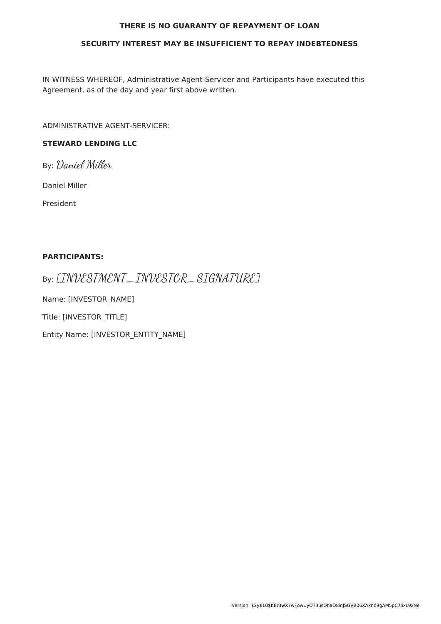#### **THERE IS NO GUARANTY OF REPAYMENT OF LOAN**

#### **SECURITY INTEREST MAY BE INSUFFICIENT TO REPAY INDEBTEDNESS**

IN WITNESS WHEREOF, Administrative Agent-Servicer and Participants have executed this Agreement, as of the day and year first above written.

ADMINISTRATIVE AGENT-SERVICER:

### **STEWARD LENDING LLC**

By: Daniel Miller

Daniel Miller

President

#### **PARTICIPANTS:**

By: [INVESTMENT\_INVESTOR\_SIGNATURE]

Name: [INVESTOR\_NAME]

Title: [INVESTOR\_TITLE]

Entity Name: [INVESTOR\_ENTITY\_NAME]